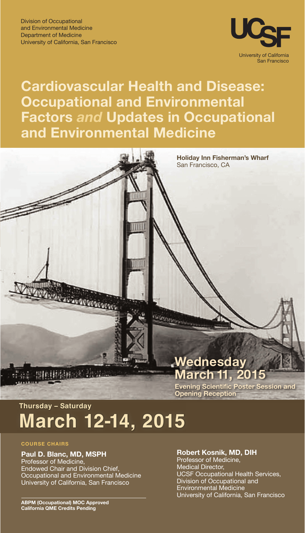

# **Cardiovascular Health and Disease: Occupational and Environmental Factors** *and* **Updates in Occupational and Environmental Medicine**



# **Thursday – Saturday March 12-14, 2015**

### **COURSE CHAIRS**

# **Paul D. Blanc, MD, MSPH** Professor of Medicine, Endowed Chair and Division Chief, Occupational and Environmental Medicine University of California, San Francisco

# **Robert Kosnik, MD, DIH**

Professor of Medicine, Medical Director, UCSF Occupational Health Services, Division of Occupational and Environmental Medicine University of California, San Francisco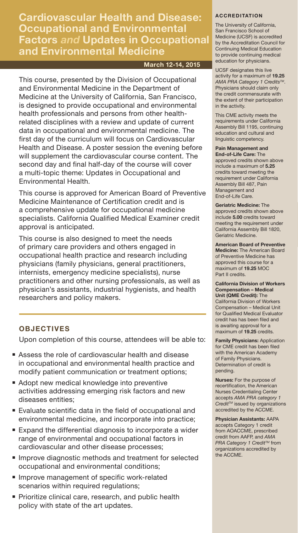**Cardiovascular Health and Disease: Occupational and Environmental Factors** *and* **Updates in Occupational and Environmental Medicine**

# **March 12-14, 2015**

This course, presented by the Division of Occupational and Environmental Medicine in the Department of Medicine at the University of California, San Francisco, is designed to provide occupational and environmental health professionals and persons from other healthrelated disciplines with a review and update of current data in occupational and environmental medicine. The first day of the curriculum will focus on Cardiovascular Health and Disease. A poster session the evening before will supplement the cardiovascular course content. The second day and final half-day of the course will cover a multi-topic theme: Updates in Occupational and Environmental Health.

This course is approved for American Board of Preventive Medicine Maintenance of Certification credit and is a comprehensive update for occupational medicine specialists. California Qualified Medical Examiner credit approval is anticipated.

This course is also designed to meet the needs of primary care providers and others engaged in occupational health practice and research including physicians (family physicians, general practitioners, internists, emergency medicine specialists), nurse practitioners and other nursing professionals, as well as physician's assistants, industrial hygienists, and health researchers and policy makers.

# **OBJECTIVES**

Upon completion of this course, attendees will be able to:

- Assess the role of cardiovascular health and disease in occupational and environmental health practice and modify patient communication or treatment options;
- Adopt new medical knowledge into preventive activities addressing emerging risk factors and new diseases entities;
- Evaluate scientific data in the field of occupational and environmental medicine, and incorporate into practice;
- Expand the differential diagnosis to incorporate a wider range of environmental and occupational factors in cardiovascular and other disease processes;
- Improve diagnostic methods and treatment for selected occupational and environmental conditions;
- Improve management of specific work-related scenarios within required regulations;
- Prioritize clinical care, research, and public health policy with state of the art updates.

### **ACCREDITATION**

The University of California, San Francisco School of Medicine (UCSF) is accredited by the Accreditation Council for Continuing Medical Education to provide continuing medical education for physicians.

UCSF designates this live activity for a maximum of **19.25** *AMA PRA Category 1 CreditsTM*. Physicians should claim only the credit commensurate with the extent of their participation in the activity.

This CME activity meets the requirements under California Assembly Bill 1195, continuing education and cultural and linguistic competency.

**Pain Management and End-of-Life Care:** The approved credits shown above include a maximum of **5.25**  credits toward meeting the requirement under California Assembly Bill 487, Pain Management and End-of-Life Care.

**Geriatric Medicine:** The approved credits shown above include **5.00** credits toward meeting the requirement under California Assembly Bill 1820, Geriatric Medicine.

**American Board of Preventive Medicine:** The American Board of Preventive Medicine has approved this course for a maximum of **19.25** MOC Part II credits.

**California Division of Workers Compensation – Medical Unit (QME Credit):** The California Division of Workers Compensation – Medical Unit for Qualified Medical Evaluator credit has has been filed and is awaiting approval for a maximum of **19.25** credits.

**Family Physicians:** Application for CME credit has been filed with the American Academy of Family Physicians. Determination of credit is pending.

**Nurses:** For the purpose of recertification, the American Nurses Credentialing Center accepts *AMA PRA category 1 CreditTM* issued by organizations accredited by the ACCME.

**Physician Assistants:** AAPA accepts Category 1 credit from AOACCME, prescribed credit from AAFP, and *AMA PRA Category 1 Credit™* from organizations accredited by the ACCME.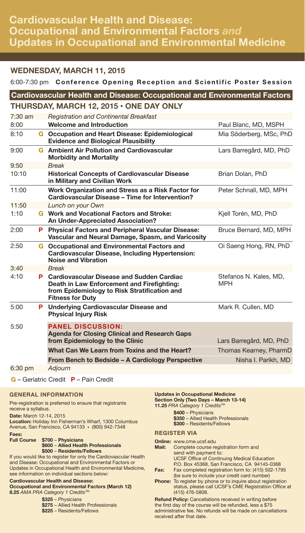# **Cardiovascular Health and Disease: Occupational and Environmental Factors** *and* **Updates in Occupational and Environmental Medicine**

# **WEDNESDAY, MARCH 11, 2015**

# 6:00-7:30 pm **Conference Opening Reception and Scientific Poster Session**

|   | <b>Cardiovascular Health and Disease: Occupational and Environmental Factors</b>                                      |                                                                                                                                                                                                                                                                                                                                                                    |
|---|-----------------------------------------------------------------------------------------------------------------------|--------------------------------------------------------------------------------------------------------------------------------------------------------------------------------------------------------------------------------------------------------------------------------------------------------------------------------------------------------------------|
|   |                                                                                                                       |                                                                                                                                                                                                                                                                                                                                                                    |
|   | <b>Registration and Continental Breakfast</b>                                                                         |                                                                                                                                                                                                                                                                                                                                                                    |
|   | <b>Welcome and Introduction</b>                                                                                       | Paul Blanc, MD, MSPH                                                                                                                                                                                                                                                                                                                                               |
|   | <b>Evidence and Biological Plausibility</b>                                                                           | Mia Söderberg, MSc, PhD                                                                                                                                                                                                                                                                                                                                            |
|   | <b>Morbidity and Mortality</b>                                                                                        | Lars Barregård, MD, PhD                                                                                                                                                                                                                                                                                                                                            |
|   | <b>Break</b>                                                                                                          |                                                                                                                                                                                                                                                                                                                                                                    |
|   | <b>Historical Concepts of Cardiovascular Disease</b><br>in Military and Civilian Work                                 | Brian Dolan, PhD                                                                                                                                                                                                                                                                                                                                                   |
|   | Work Organization and Stress as a Risk Factor for<br>Cardiovascular Disease - Time for Intervention?                  | Peter Schnall, MD, MPH                                                                                                                                                                                                                                                                                                                                             |
|   | Lunch on your Own                                                                                                     |                                                                                                                                                                                                                                                                                                                                                                    |
|   | An Under-Appreciated Association?                                                                                     | Kjell Torén, MD, PhD                                                                                                                                                                                                                                                                                                                                               |
| P | <b>Physical Factors and Peripheral Vascular Disease:</b><br>Vascular and Neural Damage, Spasm, and Varicosity         | Bruce Bernard, MD, MPH                                                                                                                                                                                                                                                                                                                                             |
|   | <b>Cardiovascular Disease, Including Hypertension:</b><br><b>Noise and Vibration</b>                                  | Oi Saeng Hong, RN, PhD                                                                                                                                                                                                                                                                                                                                             |
|   | <b>Break</b>                                                                                                          |                                                                                                                                                                                                                                                                                                                                                                    |
|   | Death in Law Enforcement and Firefighting:<br>from Epidemiology to Risk Stratification and<br><b>Fitness for Duty</b> | Stefanos N. Kales, MD,<br><b>MPH</b>                                                                                                                                                                                                                                                                                                                               |
|   | <b>Physical Injury Risk</b>                                                                                           | Mark R. Cullen, MD                                                                                                                                                                                                                                                                                                                                                 |
|   | <b>PANEL DISCUSSION:</b><br><b>Agenda for Closing Clinical and Research Gaps</b><br>from Epidemiology to the Clinic   | Lars Barregård, MD, PhD                                                                                                                                                                                                                                                                                                                                            |
|   | What Can We Learn from Toxins and the Heart?                                                                          | Thomas Kearney, PharmD                                                                                                                                                                                                                                                                                                                                             |
|   | From Bench to Bedside - A Cardiology Perspective                                                                      | Nisha I. Parikh, MD                                                                                                                                                                                                                                                                                                                                                |
|   | Adjourn                                                                                                               |                                                                                                                                                                                                                                                                                                                                                                    |
|   |                                                                                                                       | THURSDAY, MARCH 12, 2015 . ONE DAY ONLY<br><b>G</b> Occupation and Heart Disease: Epidemiological<br><b>G</b> Ambient Air Pollution and Cardiovascular<br><b>G</b> Work and Vocational Factors and Stroke:<br><b>G</b> Occupational and Environmental Factors and<br><b>P</b> Cardiovascular Disease and Sudden Cardiac<br>P Underlying Cardiovascular Disease and |

**G** – Geriatric Credit **P** – Pain Credit

# **GENERAL INFORMATION**

Pre-registration is preferred to ensure that registrants receive a syllabus.

**Date:** March 12-14, 2015

**Location:** Holiday Inn Fisherman's Wharf, 1300 Columbus Avenue, San Francisco, CA 94133 • (800) 942-7348

**Fees:** 

### **Full Course \$700** – **Physicians \$600** – **Allied Health Professionals**

**\$500** – **Residents/Fellows** If you would like to register for only the Cardiovascular Health and Disease: Occupational and Environmental Factors or Updates in Occupational Health and Environmental Medicine, see information on individual sections below:

### **Cardiovascular Health and Disease: Occupational and Environmental Factors (March 12) 8.25** *AMA PRA Category 1 CreditsTM*

**\$325** – Physicians **\$275** – Allied Health Professionals **\$225** – Residents/Fellows

### **Updates in Occupational Medicine Section Only (Two Days – March 13-14) 11.25** *PRA Category 1 Credits™*

**\$400** – Physicians **\$350** – Allied Health Professionals **\$300** – Residents/Fellows

# **REGISTER VIA**

- **Online:** www.cme.ucsf.edu<br>**Mail:** Complete course re **Mail:** Complete course registration form and send with payment to: UCSF Office of Continuing Medical Education P.O. Box 45368, San Francisco, CA 94145-0368 **Fax:** Fax completed registration form to: (415) 502-1795 (be sure to include your credit card number) **Phone:** To register by phone or to inquire about registration
- status, please call UCSF's CME Registration Office at (415) 476-5808.

**Refund Policy:** Cancellations received in writing before the first day of the course will be refunded, less a \$75 administrative fee. No refunds will be made on cancellations received after that date.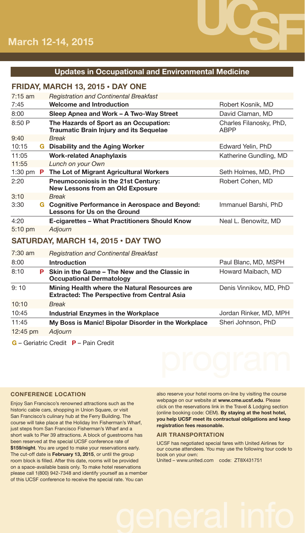

# **Updates in Occupational and Environmental Medicine**

# **FRIDAY, MARCH 13, 2015 • DAY ONE**

| $7:15$ am |    | <b>Registration and Continental Breakfast</b>                                         |                                        |
|-----------|----|---------------------------------------------------------------------------------------|----------------------------------------|
| 7:45      |    | <b>Welcome and Introduction</b>                                                       | Robert Kosnik, MD                      |
| 8:00      |    | Sleep Apnea and Work - A Two-Way Street                                               | David Claman, MD                       |
| 8:50P     |    | The Hazards of Sport as an Occupation:<br>Traumatic Brain Injury and its Sequelae     | Charles Filanosky, PhD,<br><b>ABPP</b> |
| 9:40      |    | <b>Break</b>                                                                          |                                        |
| 10:15     | G. | <b>Disability and the Aging Worker</b>                                                | Edward Yelin, PhD                      |
| 11:05     |    | <b>Work-related Anaphylaxis</b>                                                       | Katherine Gundling, MD                 |
| 11:55     |    | Lunch on your Own                                                                     |                                        |
| $1:30$ pm | P. | The Lot of Migrant Agricultural Workers                                               | Seth Holmes, MD, PhD                   |
| 2:20      |    | <b>Pneumoconiosis in the 21st Century:</b><br><b>New Lessons from an Old Exposure</b> | Robert Cohen, MD                       |
| 3:10      |    | <b>Break</b>                                                                          |                                        |
| 3:30      | G  | <b>Cognitive Performance in Aerospace and Beyond:</b><br>Lessons for Us on the Ground | Immanuel Barshi, PhD                   |
| 4:20      |    | E-cigarettes – What Practitioners Should Know                                         | Neal L. Benowitz, MD                   |
| $5:10$ pm |    | Adjourn                                                                               |                                        |
|           |    | SATURDAY, MARCH 14, 2015 · DAY TWO                                                    |                                        |
| $7:30$ am |    | <b>Registration and Continental Breakfast</b>                                         |                                        |
| 8:00      |    | Introduction                                                                          | Paul Blanc, MD, MSPH                   |
| 8:10      | P  | Skin in the Game - The New and the Classic in<br><b>Occupational Dermatology</b>      | Howard Maibach, MD                     |

9: 10 **Mining Health where the Natural Resources are Extracted: The Perspective from Central Asia** Denis Vinnikov, MD, PhD 10:10 *Break* 10:45 **Industrial Enzymes in the Workplace** Jordan Rinker, MD, MPH 11:45 **My Boss is Manic! Bipolar Disorder in the Workplace** Sheri Johnson, PhD

12:45 pm *Adjourn*

**G** – Geriatric Credit **P** – Pain Credit

# **CONFERENCE LOCATION**

Enjoy San Francisco's renowned attractions such as the historic cable cars, shopping in Union Square, or visit San Francisco's culinary hub at the Ferry Building. The course will take place at the Holiday Inn Fisherman's Wharf, just steps from San Francisco Fisherman's Wharf and a short walk to Pier 39 attractions. A block of guestrooms has been reserved at the special UCSF conference rate of **\$159/night**. You are urged to make your reservations early. The cut-off date is **February 13, 2015**, or until the group room block is filled. After this date, rooms will be provided on a space-available basis only. To make hotel reservations please call 1(800) 942-7348 and identify yourself as a member of this UCSF conference to receive the special rate. You can

also reserve your hotel rooms on-line by visiting the course webpage on our website at **www.cme.ucsf.edu**. Please click on the reservations link in the Travel & Lodging section (online booking code: OEM). **By staying at the host hotel, you help UCSF meet its contractual obligations and keep registration fees reasonable.**

# **AIR TRANSPORTATION**

UCSF has negotiated special fares with United Airlines for our course attendees. You may use the following tour code to book on your own: United – www.united.com code: ZT8X431751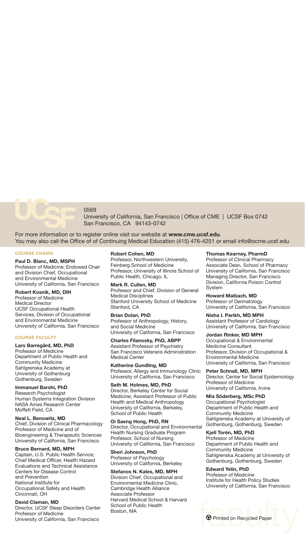

0569

University of California, San Francisco | Office of CME | UCSF Box 0742 San Francisco, CA 94143-0742

For more information or to register online visit our website at **www.cme.ucsf.edu**. You may also call the Office of of Continuing Medical Education (415) 476-4251 or email info@ocme.ucsf.edu

### **COURSE CHAIRS**

### **Paul D. Blanc, MD, MSPH**

Professor of Medicine; Endowed Chair and Division Chief, Occupational and Environmental Medicine University of California, San Francisco

# **Robert Kosnik, MD, DIH**

Professor of Medicine Medical Director UCSF Occupational Health Services, Division of Occupational and Environmental Medicine University of California, San Francisco

### **COURSE FACULTY**

### **Lars Barregård, MD, PhD**

Professor of Medicine Department of Public Health and Community Medicine Sahlgrenska Academy at University of Gothenburg Gothenburg, Sweden

# **Immanuel Barshi, PhD**

Research Psychologist Human Systems Integration Division NASA Ames Research Center Moffett Field, CA

### **Neal L. Benowitz, MD**

Chief, Division of Clinical Pharmacology Professor of Medicine and of Bioengineering & Therapeutic Sciences University of California, San Francisco

### **Bruce Bernard, MD, MPH**

Captain, U.S. Public Health Service; Chief Medical Officer, Health Hazard Evaluations and Technical Assistance Centers for Disease Control and Prevention National Institute for Occupational Safety and Health Cincinnati, OH

### **David Claman, MD**

Director, UCSF Sleep Disorders Center Professor of Medicine University of California, San Francisco

### **Robert Cohen, MD**

Professor, Northwestern University, Feinberg School of Medicine Professor, University of Illinois School of Public Health, Chicago, IL

**Mark R. Cullen, MD** Professor and Chief, Division of General Medical Disciplines Stanford University School of Medicine Stanford, CA

# **Brian Dolan, PhD**

Professor of Anthropology, History, and Social Medicine University of California, San Francisco

### **Charles Filanosky, PhD, ABPP**

Assistant Professor of Psychiatry San Francisco Veterans Administration Medical Center

**Katherine Gundling, MD**  Professor, Allergy and Immunology Clinic University of California, San Francisco

**Seth M. Holmes, MD, PhD** Director, Berkeley Center for Social Medicine; Assistant Professor of Public Health and Medical Anthropology University of California, Berkeley, School of Public Health

**Oi Saeng Hong, PhD, RN** Director, Occupational and Environmental Health Nursing Graduate Program Professor, School of Nursing University of California, San Francisco

**Sheri Johnson, PhD** Professor of Psychology University of California, Berkeley

### **Stefanos N. Kales, MD, MPH**

Division Chief, Occupational and Environmental Medicine Clinic, Cambridge Health Alliance Associate Professor Harvard Medical School & Harvard School of Public Health Boston, MA

### **Thomas Kearney, PharmD**

Professor of Clinical Pharmacy Associate Dean, School of Pharmacy University of California, San Francisco Managing Director, San Francisco Division, California Poison Control System

### **Howard Maibach, MD**

Professor of Dermatology University of California, San Francisco

**Nisha I. Parikh, MD MPH** Assistant Professor of Cardiology University of California, San Francisco

# **Jordan Rinker, MD MPH**

Occupational & Environmental Medicine Consultant Professor, Division of Occupational & Environmental Medicine University of California, San Francisco

**Peter Schnall, MD, MPH** Director, Center for Social Epidemiology Professor of Medicine University of California, Irvine

**Mia Söderberg, MSc PhD** Occupational Psychologist Department of Public Health and Community Medicine Sahlgrenska Academy at University of Gothenburg, Gothenburg, Sweden

### **Kjell Torén, MD, PhD**

Professor of Medicine Department of Public Health and Community Medicine Sahlgrenska Academy at University of Gothenburg, Gothenburg, Sweden

**Edward Yelin, PhD** Professor of Medicine

Institute for Health Policy Studies University of California, San Francisco